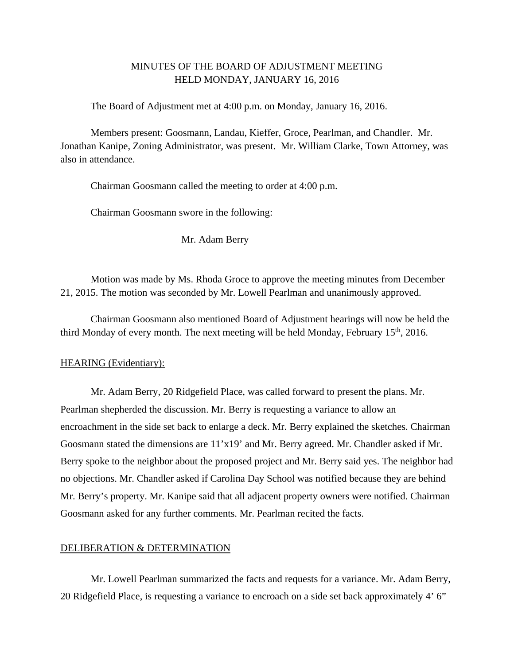## MINUTES OF THE BOARD OF ADJUSTMENT MEETING HELD MONDAY, JANUARY 16, 2016

The Board of Adjustment met at 4:00 p.m. on Monday, January 16, 2016.

Members present: Goosmann, Landau, Kieffer, Groce, Pearlman, and Chandler. Mr. Jonathan Kanipe, Zoning Administrator, was present. Mr. William Clarke, Town Attorney, was also in attendance.

Chairman Goosmann called the meeting to order at 4:00 p.m.

Chairman Goosmann swore in the following:

Mr. Adam Berry

 Motion was made by Ms. Rhoda Groce to approve the meeting minutes from December 21, 2015. The motion was seconded by Mr. Lowell Pearlman and unanimously approved.

 Chairman Goosmann also mentioned Board of Adjustment hearings will now be held the third Monday of every month. The next meeting will be held Monday, February  $15<sup>th</sup>$ , 2016.

## HEARING (Evidentiary):

Mr. Adam Berry, 20 Ridgefield Place, was called forward to present the plans. Mr. Pearlman shepherded the discussion. Mr. Berry is requesting a variance to allow an encroachment in the side set back to enlarge a deck. Mr. Berry explained the sketches. Chairman Goosmann stated the dimensions are 11'x19' and Mr. Berry agreed. Mr. Chandler asked if Mr. Berry spoke to the neighbor about the proposed project and Mr. Berry said yes. The neighbor had no objections. Mr. Chandler asked if Carolina Day School was notified because they are behind Mr. Berry's property. Mr. Kanipe said that all adjacent property owners were notified. Chairman Goosmann asked for any further comments. Mr. Pearlman recited the facts.

## DELIBERATION & DETERMINATION

 Mr. Lowell Pearlman summarized the facts and requests for a variance. Mr. Adam Berry, 20 Ridgefield Place, is requesting a variance to encroach on a side set back approximately 4' 6"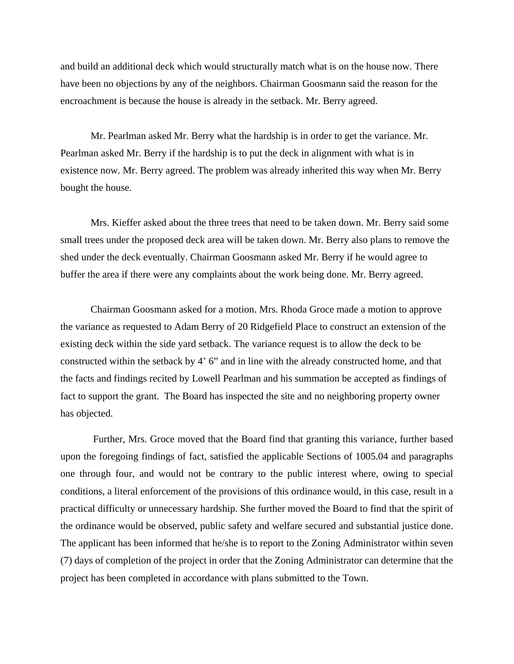and build an additional deck which would structurally match what is on the house now. There have been no objections by any of the neighbors. Chairman Goosmann said the reason for the encroachment is because the house is already in the setback. Mr. Berry agreed.

 Mr. Pearlman asked Mr. Berry what the hardship is in order to get the variance. Mr. Pearlman asked Mr. Berry if the hardship is to put the deck in alignment with what is in existence now. Mr. Berry agreed. The problem was already inherited this way when Mr. Berry bought the house.

 Mrs. Kieffer asked about the three trees that need to be taken down. Mr. Berry said some small trees under the proposed deck area will be taken down. Mr. Berry also plans to remove the shed under the deck eventually. Chairman Goosmann asked Mr. Berry if he would agree to buffer the area if there were any complaints about the work being done. Mr. Berry agreed.

Chairman Goosmann asked for a motion. Mrs. Rhoda Groce made a motion to approve the variance as requested to Adam Berry of 20 Ridgefield Place to construct an extension of the existing deck within the side yard setback. The variance request is to allow the deck to be constructed within the setback by 4' 6" and in line with the already constructed home, and that the facts and findings recited by Lowell Pearlman and his summation be accepted as findings of fact to support the grant. The Board has inspected the site and no neighboring property owner has objected.

 Further, Mrs. Groce moved that the Board find that granting this variance, further based upon the foregoing findings of fact, satisfied the applicable Sections of 1005.04 and paragraphs one through four, and would not be contrary to the public interest where, owing to special conditions, a literal enforcement of the provisions of this ordinance would, in this case, result in a practical difficulty or unnecessary hardship. She further moved the Board to find that the spirit of the ordinance would be observed, public safety and welfare secured and substantial justice done. The applicant has been informed that he/she is to report to the Zoning Administrator within seven (7) days of completion of the project in order that the Zoning Administrator can determine that the project has been completed in accordance with plans submitted to the Town.